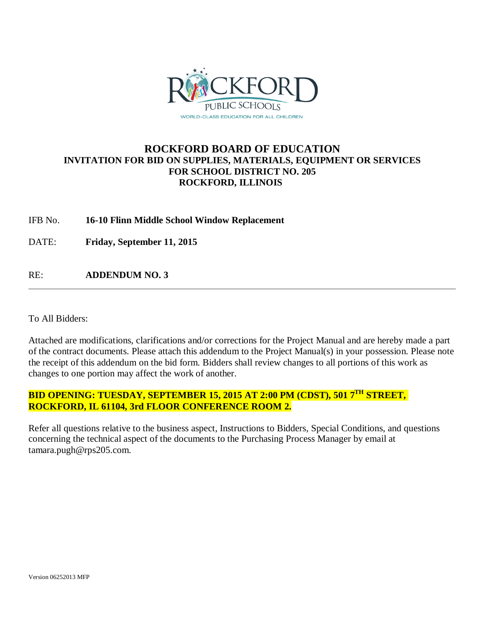

## **ROCKFORD BOARD OF EDUCATION INVITATION FOR BID ON SUPPLIES, MATERIALS, EQUIPMENT OR SERVICES FOR SCHOOL DISTRICT NO. 205 ROCKFORD, ILLINOIS**

#### IFB No. **16-10 Flinn Middle School Window Replacement**

DATE: **Friday, September 11, 2015**

RE: **ADDENDUM NO. 3**

To All Bidders:

Attached are modifications, clarifications and/or corrections for the Project Manual and are hereby made a part of the contract documents. Please attach this addendum to the Project Manual(s) in your possession. Please note the receipt of this addendum on the bid form. Bidders shall review changes to all portions of this work as changes to one portion may affect the work of another.

# **BID OPENING: TUESDAY, SEPTEMBER 15, 2015 AT 2:00 PM (CDST), 501 7TH STREET, ROCKFORD, IL 61104, 3rd FLOOR CONFERENCE ROOM 2.**

Refer all questions relative to the business aspect, Instructions to Bidders, Special Conditions, and questions concerning the technical aspect of the documents to the Purchasing Process Manager by email at tamara.pugh@rps205.com.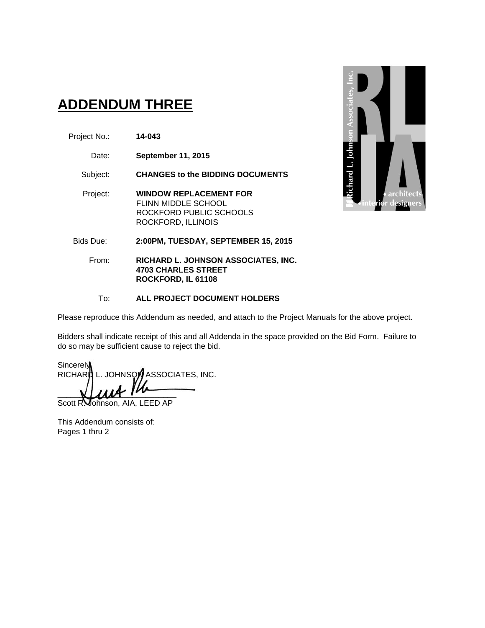# **ADDENDUM THREE**

- Project No.: **14-043**
	- Date: **September 11, 2015**

Subject: **CHANGES to the BIDDING DOCUMENTS**

- Project: **WINDOW REPLACEMENT FOR** FLINN MIDDLE SCHOOL ROCKFORD PUBLIC SCHOOLS ROCKFORD, ILLINOIS
- Bids Due: **2:00PM, TUESDAY, SEPTEMBER 15, 2015**
	- From: **RICHARD L. JOHNSON ASSOCIATES, INC. 4703 CHARLES STREET ROCKFORD, IL 61108**

#### To: **ALL PROJECT DOCUMENT HOLDERS**

Please reproduce this Addendum as needed, and attach to the Project Manuals for the above project.

Bidders shall indicate receipt of this and all Addenda in the space provided on the Bid Form. Failure to do so may be sufficient cause to reject the bid.

Sincerely RICHARD L. JOHNSON ASSOCIATES, INC.  $\blacksquare$ 

Scott R. Johnson, AIA, LEED AP

This Addendum consists of: Pages 1 thru 2